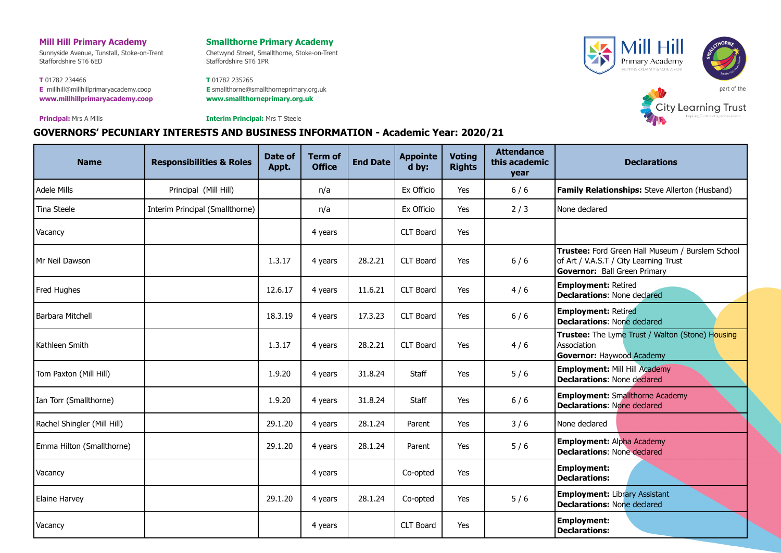### **Mill Hill Primary Academy**

Sunnyside Avenue, Tunstall, Stoke-on-Trent Staffordshire ST6 6ED

**T** 01782 234466 **E** [millhill@millhillprimaryacademy.coop](mailto:millhill@millhillprimaryacademy.coop) **[www.millhillprimaryacademy.coop](http://www.millhillprimaryacademy.coop/)**

**Principal:** Mrs A Mills

#### **Smallthorne Primary Academy**

Chetwynd Street, Smallthorne, Stoke-on-Trent Staffordshire ST6 1PR

**T** 01782 235265 **E** [smallthorne@smallthorneprimary.org.uk](mailto:smallthorne@smallthorneprimary.org.uk) **[www.smallthorneprimary.org.uk](http://www.smallthorneprimary.org.uk/)**





**Interim Principal:** Mrs T Steele

## **GOVERNORS' PECUNIARY INTERESTS AND BUSINESS INFORMATION - Academic Year: 2020/21**

| <b>Name</b>                 | <b>Responsibilities &amp; Roles</b> | Date of<br>Appt. | <b>Term of</b><br><b>Office</b> | <b>End Date</b> | <b>Appointe</b><br>d by: | <b>Voting</b><br><b>Rights</b> | <b>Attendance</b><br>this academic<br>year | <b>Declarations</b>                                                                                                               |
|-----------------------------|-------------------------------------|------------------|---------------------------------|-----------------|--------------------------|--------------------------------|--------------------------------------------|-----------------------------------------------------------------------------------------------------------------------------------|
| Adele Mills                 | Principal (Mill Hill)               |                  | n/a                             |                 | Ex Officio               | Yes                            | $6/6$                                      | <b>Family Relationships:</b> Steve Allerton (Husband)                                                                             |
| Tina Steele                 | Interim Principal (Smallthorne)     |                  | n/a                             |                 | Ex Officio               | Yes                            | 2/3                                        | None declared                                                                                                                     |
| Vacancy                     |                                     |                  | 4 years                         |                 | CLT Board                | Yes                            |                                            |                                                                                                                                   |
| Mr Neil Dawson              |                                     | 1.3.17           | 4 years                         | 28.2.21         | CLT Board                | Yes                            | $6/6$                                      | Trustee: Ford Green Hall Museum / Burslem School<br>of Art / V.A.S.T / City Learning Trust<br><b>Governor: Ball Green Primary</b> |
| Fred Hughes                 |                                     | 12.6.17          | 4 years                         | 11.6.21         | CLT Board                | Yes                            | 4/6                                        | <b>Employment: Retired</b><br><b>Declarations: None declared</b>                                                                  |
| Barbara Mitchell            |                                     | 18.3.19          | 4 years                         | 17.3.23         | CLT Board                | Yes                            | $6/6$                                      | <b>Employment: Retired</b><br><b>Declarations: None declared</b>                                                                  |
| Kathleen Smith              |                                     | 1.3.17           | 4 years                         | 28.2.21         | <b>CLT Board</b>         | Yes                            | 4/6                                        | Trustee: The Lyme Trust / Walton (Stone) Housing<br>Association<br><b>Governor: Haywood Academy</b>                               |
| Tom Paxton (Mill Hill)      |                                     | 1.9.20           | 4 years                         | 31.8.24         | Staff                    | Yes                            | 5/6                                        | <b>Employment: Mill Hill Academy</b><br><b>Declarations: None declared</b>                                                        |
| Ian Torr (Smallthorne)      |                                     | 1.9.20           | 4 years                         | 31.8.24         | Staff                    | Yes                            | $6/6$                                      | <b>Employment: Smallthorne Academy</b><br><b>Declarations: None declared</b>                                                      |
| Rachel Shingler (Mill Hill) |                                     | 29.1.20          | 4 years                         | 28.1.24         | Parent                   | Yes                            | 3/6                                        | None declared                                                                                                                     |
| Emma Hilton (Smallthorne)   |                                     | 29.1.20          | 4 years                         | 28.1.24         | Parent                   | <b>Yes</b>                     | 5/6                                        | <b>Employment: Alpha Academy</b><br><b>Declarations: None declared</b>                                                            |
| Vacancy                     |                                     |                  | 4 years                         |                 | Co-opted                 | Yes                            |                                            | <b>Employment:</b><br><b>Declarations:</b>                                                                                        |
| Elaine Harvey               |                                     | 29.1.20          | 4 years                         | 28.1.24         | Co-opted                 | Yes                            | 5/6                                        | <b>Employment: Library Assistant</b><br><b>Declarations: None declared</b>                                                        |
| Vacancy                     |                                     |                  | 4 years                         |                 | CLT Board                | Yes                            |                                            | <b>Employment:</b><br><b>Declarations:</b>                                                                                        |